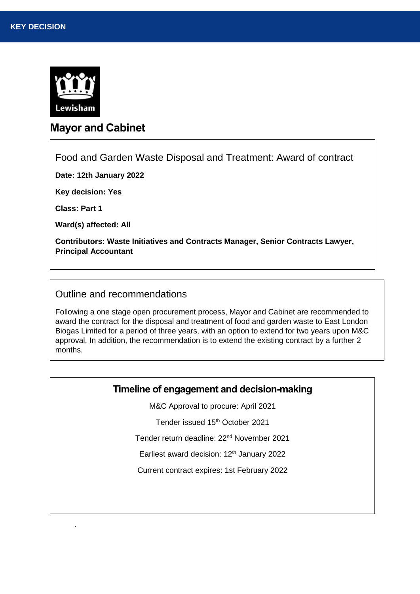

# **Mayor and Cabinet**

Food and Garden Waste Disposal and Treatment: Award of contract

**Date: 12th January 2022**

**Key decision: Yes** 

**Class: Part 1**

*.*

**Ward(s) affected: All**

**Contributors: Waste Initiatives and Contracts Manager, Senior Contracts Lawyer, Principal Accountant**

### Outline and recommendations

Following a one stage open procurement process, Mayor and Cabinet are recommended to award the contract for the disposal and treatment of food and garden waste to East London Biogas Limited for a period of three years, with an option to extend for two years upon M&C approval. In addition, the recommendation is to extend the existing contract by a further 2 months.

## **Timeline of engagement and decision-making**

M&C Approval to procure: April 2021

Tender issued 15<sup>th</sup> October 2021

Tender return deadline: 22nd November 2021

Earliest award decision: 12<sup>th</sup> January 2022

Current contract expires: 1st February 2022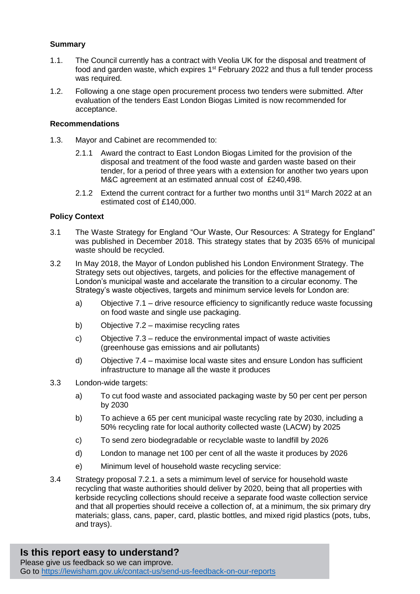#### **Summary**

- 1.1. The Council currently has a contract with Veolia UK for the disposal and treatment of food and garden waste, which expires  $1<sup>st</sup>$  February 2022 and thus a full tender process was required.
- 1.2. Following a one stage open procurement process two tenders were submitted. After evaluation of the tenders East London Biogas Limited is now recommended for acceptance.

#### **Recommendations**

- 1.3. Mayor and Cabinet are recommended to:
	- 2.1.1 Award the contract to East London Biogas Limited for the provision of the disposal and treatment of the food waste and garden waste based on their tender, for a period of three years with a extension for another two years upon M&C agreement at an estimated annual cost of £240,498.
	- 2.1.2 Extend the current contract for a further two months until 31<sup>st</sup> March 2022 at an estimated cost of £140,000.

#### **Policy Context**

- 3.1 The Waste Strategy for England "Our Waste, Our Resources: A Strategy for England" was published in December 2018. This strategy states that by 2035 65% of municipal waste should be recycled.
- 3.2 In May 2018, the Mayor of London published his London Environment Strategy. The Strategy sets out objectives, targets, and policies for the effective management of London's municipal waste and accelarate the transition to a circular economy. The Strategy's waste objectives, targets and minimum service levels for London are:
	- a) Objective 7.1 drive resource efficiency to significantly reduce waste focussing on food waste and single use packaging.
	- b) Objective 7.2 maximise recycling rates
	- c) Objective 7.3 reduce the environmental impact of waste activities (greenhouse gas emissions and air pollutants)
	- d) Objective 7.4 maximise local waste sites and ensure London has sufficient infrastructure to manage all the waste it produces
- 3.3 London-wide targets:
	- a) To cut food waste and associated packaging waste by 50 per cent per person by 2030
	- b) To achieve a 65 per cent municipal waste recycling rate by 2030, including a 50% recycling rate for local authority collected waste (LACW) by 2025
	- c) To send zero biodegradable or recyclable waste to landfill by 2026
	- d) London to manage net 100 per cent of all the waste it produces by 2026
	- e) Minimum level of household waste recycling service:
- 3.4 Strategy proposal 7.2.1. a sets a mimimum level of service for household waste recycling that waste authorities should deliver by 2020, being that all properties with kerbside recycling collections should receive a separate food waste collection service and that all properties should receive a collection of, at a minimum, the six primary dry materials; glass, cans, paper, card, plastic bottles, and mixed rigid plastics (pots, tubs, and trays).

#### **Is this report easy to understand?** Please give us feedback so we can improve. Go to<https://lewisham.gov.uk/contact-us/send-us-feedback-on-our-reports>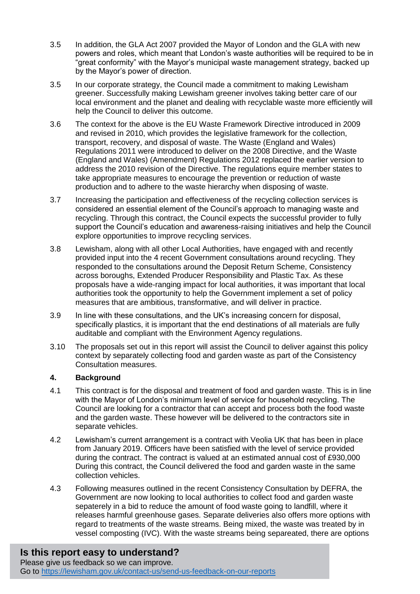- 3.5 In addition, the GLA Act 2007 provided the Mayor of London and the GLA with new powers and roles, which meant that London's waste authorities will be required to be in "great conformity" with the Mayor's municipal waste management strategy, backed up by the Mayor's power of direction.
- 3.5 In our corporate strategy, the Council made a commitment to making Lewisham greener. Successfully making Lewisham greener involves taking better care of our local environment and the planet and dealing with recyclable waste more efficiently will help the Council to deliver this outcome.
- 3.6 The context for the above is the EU Waste Framework Directive introduced in 2009 and revised in 2010, which provides the legislative framework for the collection, transport, recovery, and disposal of waste. The Waste (England and Wales) Regulations 2011 were introduced to deliver on the 2008 Directive, and the Waste (England and Wales) (Amendment) Regulations 2012 replaced the earlier version to address the 2010 revision of the Directive. The regulations equire member states to take appropriate measures to encourage the prevention or reduction of waste production and to adhere to the waste hierarchy when disposing of waste.
- 3.7 Increasing the participation and effectiveness of the recycling collection services is considered an essential element of the Council's approach to managing waste and recycling. Through this contract, the Council expects the successful provider to fully support the Council's education and awareness-raising initiatives and help the Council explore opportunities to improve recycling services.
- 3.8 Lewisham, along with all other Local Authorities, have engaged with and recently provided input into the 4 recent Government consultations around recycling. They responded to the consultations around the Deposit Return Scheme, Consistency across boroughs, Extended Producer Responsibility and Plastic Tax. As these proposals have a wide-ranging impact for local authorities, it was important that local authorities took the opportunity to help the Government implement a set of policy measures that are ambitious, transformative, and will deliver in practice.
- 3.9 In line with these consultations, and the UK's increasing concern for disposal, specifically plastics, it is important that the end destinations of all materials are fully auditable and compliant with the Environment Agency regulations.
- 3.10 The proposals set out in this report will assist the Council to deliver against this policy context by separately collecting food and garden waste as part of the Consistency Consultation measures.

### **4. Background**

- 4.1 This contract is for the disposal and treatment of food and garden waste. This is in line with the Mayor of London's minimum level of service for household recycling. The Council are looking for a contractor that can accept and process both the food waste and the garden waste. These however will be delivered to the contractors site in separate vehicles.
- 4.2 Lewisham's current arrangement is a contract with Veolia UK that has been in place from January 2019. Officers have been satisfied with the level of service provided during the contract. The contract is valued at an estimated annual cost of £930,000 During this contract, the Council delivered the food and garden waste in the same collection vehicles.
- 4.3 Following measures outlined in the recent Consistency Consultation by DEFRA, the Government are now looking to local authorities to collect food and garden waste sepaterely in a bid to reduce the amount of food waste going to landfill, where it releases harmful greenhouse gases. Separate deliveries also offers more options with regard to treatments of the waste streams. Being mixed, the waste was treated by in vessel composting (IVC). With the waste streams being separeated, there are options

## **Is this report easy to understand?**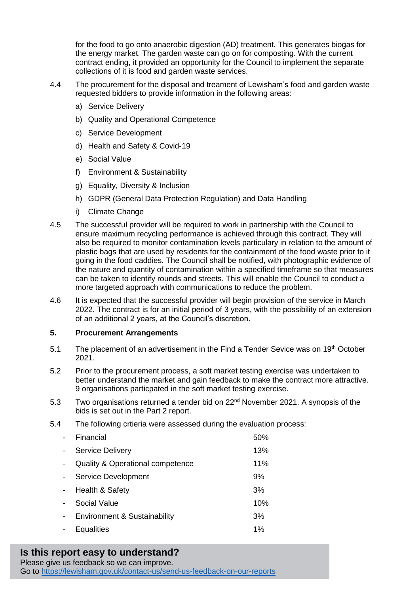for the food to go onto anaerobic digestion (AD) treatment. This generates biogas for the energy market. The garden waste can go on for composting. With the current contract ending, it provided an opportunity for the Council to implement the separate collections of it is food and garden waste services.

- 4.4 The procurement for the disposal and treament of Lewisham's food and garden waste requested bidders to provide information in the following areas:
	- a) Service Delivery
	- b) Quality and Operational Competence
	- c) Service Development
	- d) Health and Safety & Covid-19
	- e) Social Value
	- f) Environment & Sustainability
	- g) Equality, Diversity & Inclusion
	- h) GDPR (General Data Protection Regulation) and Data Handling
	- i) Climate Change
- 4.5 The successful provider will be required to work in partnership with the Council to ensure maximum recycling performance is achieved through this contract. They will also be required to monitor contamination levels particulary in relation to the amount of plastic bags that are used by residents for the containment of the food waste prior to it going in the food caddies. The Council shall be notified, with photographic evidence of the nature and quantity of contamination within a specified timeframe so that measures can be taken to identify rounds and streets. This will enable the Council to conduct a more targeted approach with communications to reduce the problem.
- 4.6 It is expected that the successful provider will begin provision of the service in March 2022. The contract is for an initial period of 3 years, with the possibility of an extension of an additional 2 years, at the Council's discretion.

#### **5. Procurement Arrangements**

- 5.1 The placement of an advertisement in the Find a Tender Sevice was on  $19<sup>th</sup>$  October 2021.
- 5.2 Prior to the procurement process, a soft market testing exercise was undertaken to better understand the market and gain feedback to make the contract more attractive. 9 organisations particpated in the soft market testing exercise.
- 5.3 Two organisations returned a tender bid on 22nd November 2021. A synopsis of the bids is set out in the Part 2 report.
- 5.4 The following crtieria were assessed during the evaluation process:

| Financial                                   | 50%   |
|---------------------------------------------|-------|
| <b>Service Delivery</b>                     | 13%   |
| <b>Quality &amp; Operational competence</b> | 11%   |
| Service Development                         | 9%    |
| Health & Safety                             | 3%    |
| Social Value                                | 10%   |
| <b>Environment &amp; Sustainability</b>     | 3%    |
| Equalities                                  | $1\%$ |

# **Is this report easy to understand?**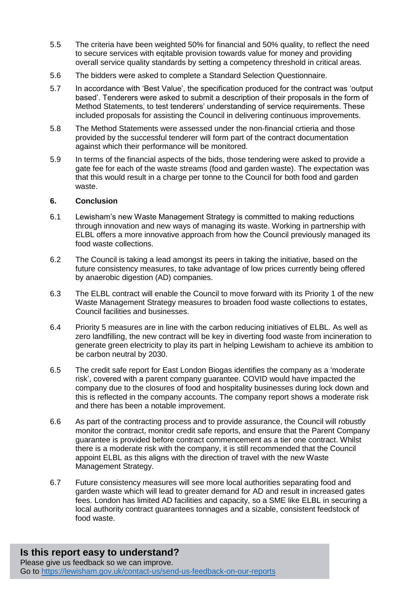- 5.5 The criteria have been weighted 50% for financial and 50% quality, to reflect the need to secure services with eqitable provision towards value for money and providing overall service quality standards by setting a competency threshold in critical areas.
- 5.6 The bidders were asked to complete a Standard Selection Questionnaire.
- 5.7 In accordance with 'Best Value', the specification produced for the contract was 'output based'. Tenderers were asked to submit a description of their proposals in the form of Method Statements, to test tenderers' understanding of service requirements. These included proposals for assisting the Council in delivering continuous improvements.
- 5.8 The Method Statements were assessed under the non-financial crtieria and those provided by the successful tenderer will form part of the contract documentation against which their performance will be monitored.
- 5.9 In terms of the financial aspects of the bids, those tendering were asked to provide a gate fee for each of the waste streams (food and garden waste). The expectation was that this would result in a charge per tonne to the Council for both food and garden waste.

#### **6. Conclusion**

- 6.1 Lewisham's new Waste Management Strategy is committed to making reductions through innovation and new ways of managing its waste. Working in partnership with ELBL offers a more innovative approach from how the Council previously managed its food waste collections.
- 6.2 The Council is taking a lead amongst its peers in taking the initiative, based on the future consistency measures, to take advantage of low prices currently being offered by anaerobic digestion (AD) companies.
- 6.3 The ELBL contract will enable the Council to move forward with its Priority 1 of the new Waste Management Strategy measures to broaden food waste collections to estates, Council facilities and businesses.
- 6.4 Priority 5 measures are in line with the carbon reducing initiatives of ELBL. As well as zero landfilling, the new contract will be key in diverting food waste from incineration to generate green electricity to play its part in helping Lewisham to achieve its ambition to be carbon neutral by 2030.
- 6.5 The credit safe report for East London Biogas identifies the company as a 'moderate risk', covered with a parent company guarantee. COVID would have impacted the company due to the closures of food and hospitality businesses during lock down and this is reflected in the company accounts. The company report shows a moderate risk and there has been a notable improvement.
- 6.6 As part of the contracting process and to provide assurance, the Council will robustly monitor the contract, monitor credit safe reports, and ensure that the Parent Company guarantee is provided before contract commencement as a tier one contract. Whilst there is a moderate risk with the company, it is still recommended that the Council appoint ELBL as this aligns with the direction of travel with the new Waste Management Strategy.
- 6.7 Future consistency measures will see more local authorities separating food and garden waste which will lead to greater demand for AD and result in increased gates fees. London has limited AD facilities and capacity, so a SME like ELBL in securing a local authority contract guarantees tonnages and a sizable, consistent feedstock of food waste.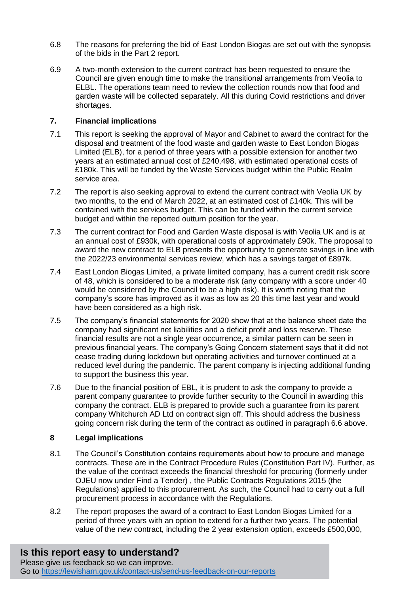- 6.8 The reasons for preferring the bid of East London Biogas are set out with the synopsis of the bids in the Part 2 report.
- 6.9 A two-month extension to the current contract has been requested to ensure the Council are given enough time to make the transitional arrangements from Veolia to ELBL. The operations team need to review the collection rounds now that food and garden waste will be collected separately. All this during Covid restrictions and driver shortages.

#### **7. Financial implications**

- 7.1 This report is seeking the approval of Mayor and Cabinet to award the contract for the disposal and treatment of the food waste and garden waste to East London Biogas Limited (ELB), for a period of three years with a possible extension for another two years at an estimated annual cost of £240,498, with estimated operational costs of £180k. This will be funded by the Waste Services budget within the Public Realm service area.
- 7.2 The report is also seeking approval to extend the current contract with Veolia UK by two months, to the end of March 2022, at an estimated cost of £140k. This will be contained with the services budget. This can be funded within the current service budget and within the reported outturn position for the year.
- 7.3 The current contract for Food and Garden Waste disposal is with Veolia UK and is at an annual cost of £930k, with operational costs of approximately £90k. The proposal to award the new contract to ELB presents the opportunity to generate savings in line with the 2022/23 environmental services review, which has a savings target of £897k.
- 7.4 East London Biogas Limited, a private limited company, has a current credit risk score of 48, which is considered to be a moderate risk (any company with a score under 40 would be considered by the Council to be a high risk). It is worth noting that the company's score has improved as it was as low as 20 this time last year and would have been considered as a high risk.
- 7.5 The company's financial statements for 2020 show that at the balance sheet date the company had significant net liabilities and a deficit profit and loss reserve. These financial results are not a single year occurrence, a similar pattern can be seen in previous financial years. The company's Going Concern statement says that it did not cease trading during lockdown but operating activities and turnover continued at a reduced level during the pandemic. The parent company is injecting additional funding to support the business this year.
- 7.6 Due to the financial position of EBL, it is prudent to ask the company to provide a parent company guarantee to provide further security to the Council in awarding this company the contract. ELB is prepared to provide such a guarantee from its parent company Whitchurch AD Ltd on contract sign off. This should address the business going concern risk during the term of the contract as outlined in paragraph 6.6 above.

### **8 Legal implications**

- 8.1 The Council's Constitution contains requirements about how to procure and manage contracts. These are in the Contract Procedure Rules (Constitution Part IV). Further, as the value of the contract exceeds the financial threshold for procuring (formerly under OJEU now under Find a Tender) , the Public Contracts Regulations 2015 (the Regulations) applied to this procurement. As such, the Council had to carry out a full procurement process in accordance with the Regulations.
- 8.2 The report proposes the award of a contract to East London Biogas Limited for a period of three years with an option to extend for a further two years. The potential value of the new contract, including the 2 year extension option, exceeds £500,000,

# **Is this report easy to understand?**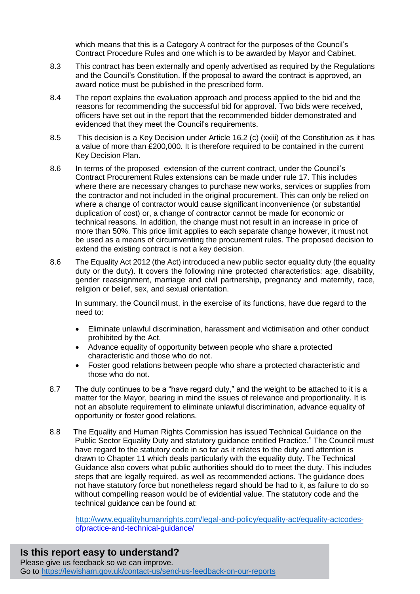which means that this is a Category A contract for the purposes of the Council's Contract Procedure Rules and one which is to be awarded by Mayor and Cabinet.

- 8.3 This contract has been externally and openly advertised as required by the Regulations and the Council's Constitution. If the proposal to award the contract is approved, an award notice must be published in the prescribed form.
- 8.4 The report explains the evaluation approach and process applied to the bid and the reasons for recommending the successful bid for approval. Two bids were received, officers have set out in the report that the recommended bidder demonstrated and evidenced that they meet the Council's requirements.
- 8.5 This decision is a Key Decision under Article 16.2 (c) (xxiii) of the Constitution as it has a value of more than £200,000. It is therefore required to be contained in the current Key Decision Plan.
- 8.6 In terms of the proposed extension of the current contract, under the Council's Contract Procurement Rules extensions can be made under rule 17. This includes where there are necessary changes to purchase new works, services or supplies from the contractor and not included in the original procurement. This can only be relied on where a change of contractor would cause significant inconvenience (or substantial duplication of cost) or, a change of contractor cannot be made for economic or technical reasons. In addition, the change must not result in an increase in price of more than 50%. This price limit applies to each separate change however, it must not be used as a means of circumventing the procurement rules. The proposed decision to extend the existing contract is not a key decision.
- 8.6 The Equality Act 2012 (the Act) introduced a new public sector equality duty (the equality duty or the duty). It covers the following nine protected characteristics: age, disability, gender reassignment, marriage and civil partnership, pregnancy and maternity, race, religion or belief, sex, and sexual orientation.

In summary, the Council must, in the exercise of its functions, have due regard to the need to:

- Eliminate unlawful discrimination, harassment and victimisation and other conduct prohibited by the Act.
- Advance equality of opportunity between people who share a protected characteristic and those who do not.
- Foster good relations between people who share a protected characteristic and those who do not.
- 8.7 The duty continues to be a "have regard duty," and the weight to be attached to it is a matter for the Mayor, bearing in mind the issues of relevance and proportionality. It is not an absolute requirement to eliminate unlawful discrimination, advance equality of opportunity or foster good relations.
- 8.8 The Equality and Human Rights Commission has issued Technical Guidance on the Public Sector Equality Duty and statutory guidance entitled Practice." The Council must have regard to the statutory code in so far as it relates to the duty and attention is drawn to Chapter 11 which deals particularly with the equality duty. The Technical Guidance also covers what public authorities should do to meet the duty. This includes steps that are legally required, as well as recommended actions. The guidance does not have statutory force but nonetheless regard should be had to it, as failure to do so without compelling reason would be of evidential value. The statutory code and the technical guidance can be found at:

[http://www.equalityhumanrights.com/legal-and-policy/equality-act/equality-actcodes](http://www.equalityhumanrights.com/legal-and-policy/equality-act/equality-actcodes-)ofpractice-and-technical-guidance/

**Is this report easy to understand?** Please give us feedback so we can improve. Go to<https://lewisham.gov.uk/contact-us/send-us-feedback-on-our-reports>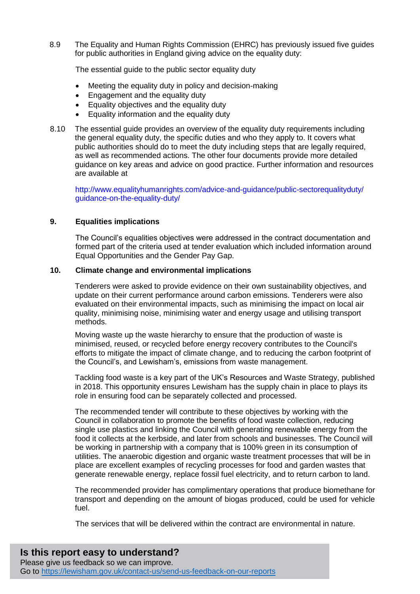8.9 The Equality and Human Rights Commission (EHRC) has previously issued five guides for public authorities in England giving advice on the equality duty:

The essential quide to the public sector equality duty

- Meeting the equality duty in policy and decision-making
- Engagement and the equality duty
- Equality objectives and the equality duty
- **Equality information and the equality duty**
- 8.10 The essential guide provides an overview of the equality duty requirements including the general equality duty, the specific duties and who they apply to. It covers what public authorities should do to meet the duty including steps that are legally required, as well as recommended actions. The other four documents provide more detailed guidance on key areas and advice on good practice. Further information and resources are available at

http://www.equalityhumanrights.com/advice-and-guidance/public-sectorequalityduty/ guidance-on-the-equality-duty/

#### **9. Equalities implications**

The Council's equalities objectives were addressed in the contract documentation and formed part of the criteria used at tender evaluation which included information around Equal Opportunities and the Gender Pay Gap.

#### **10. Climate change and environmental implications**

Tenderers were asked to provide evidence on their own sustainability objectives, and update on their current performance around carbon emissions. Tenderers were also evaluated on their environmental impacts, such as minimising the impact on local air quality, minimising noise, minimising water and energy usage and utilising transport methods.

Moving waste up the waste hierarchy to ensure that the production of waste is minimised, reused, or recycled before energy recovery contributes to the Council's efforts to mitigate the impact of climate change, and to reducing the carbon footprint of the Council's, and Lewisham's, emissions from waste management.

Tackling food waste is a key part of the UK's Resources and Waste Strategy, published in 2018. This opportunity ensures Lewisham has the supply chain in place to plays its role in ensuring food can be separately collected and processed.

The recommended tender will contribute to these objectives by working with the Council in collaboration to promote the benefits of food waste collection, reducing single use plastics and linking the Council with generating renewable energy from the food it collects at the kerbside, and later from schools and businesses. The Council will be working in partnership with a company that is 100% green in its consumption of utilities. The anaerobic digestion and organic waste treatment processes that will be in place are excellent examples of recycling processes for food and garden wastes that generate renewable energy, replace fossil fuel electricity, and to return carbon to land.

The recommended provider has complimentary operations that produce biomethane for transport and depending on the amount of biogas produced, could be used for vehicle fuel.

The services that will be delivered within the contract are environmental in nature.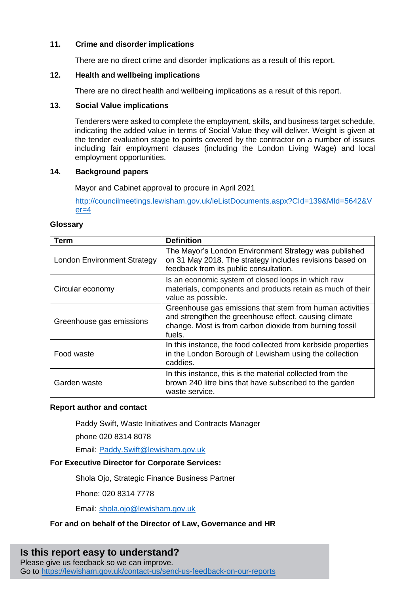#### **11. Crime and disorder implications**

There are no direct crime and disorder implications as a result of this report.

#### **12. Health and wellbeing implications**

There are no direct health and wellbeing implications as a result of this report.

#### **13. Social Value implications**

Tenderers were asked to complete the employment, skills, and business target schedule, indicating the added value in terms of Social Value they will deliver. Weight is given at the tender evaluation stage to points covered by the contractor on a number of issues including fair employment clauses (including the London Living Wage) and local employment opportunities.

#### **14. Background papers**

Mayor and Cabinet approval to procure in April 2021

[http://councilmeetings.lewisham.gov.uk/ieListDocuments.aspx?CId=139&MId=5642&V](http://councilmeetings.lewisham.gov.uk/ieListDocuments.aspx?CId=139&MId=5642&Ver=4)  $er = 4$ 

#### **Glossary**

| Term                               | <b>Definition</b>                                                                                                                                                                      |
|------------------------------------|----------------------------------------------------------------------------------------------------------------------------------------------------------------------------------------|
| <b>London Environment Strategy</b> | The Mayor's London Environment Strategy was published<br>on 31 May 2018. The strategy includes revisions based on<br>feedback from its public consultation.                            |
| Circular economy                   | Is an economic system of closed loops in which raw<br>materials, components and products retain as much of their<br>value as possible.                                                 |
| Greenhouse gas emissions           | Greenhouse gas emissions that stem from human activities<br>and strengthen the greenhouse effect, causing climate<br>change. Most is from carbon dioxide from burning fossil<br>fuels. |
| Food waste                         | In this instance, the food collected from kerbside properties<br>in the London Borough of Lewisham using the collection<br>caddies.                                                    |
| Garden waste                       | In this instance, this is the material collected from the<br>brown 240 litre bins that have subscribed to the garden<br>waste service.                                                 |

#### **Report author and contact**

Paddy Swift, Waste Initiatives and Contracts Manager

phone 020 8314 8078

Email: [Paddy.Swift@lewisham.gov.uk](mailto:Paddy.Swift@lewisham.gov.uk)

#### **For Executive Director for Corporate Services:**

Shola Oio, Strategic Finance Business Partner

Phone: 020 8314 7778

Email: [shola.ojo@lewisham.gov.uk](mailto:shola.ojo@lewisham.gov.uk)

#### **For and on behalf of the Director of Law, Governance and HR**

## **Is this report easy to understand?**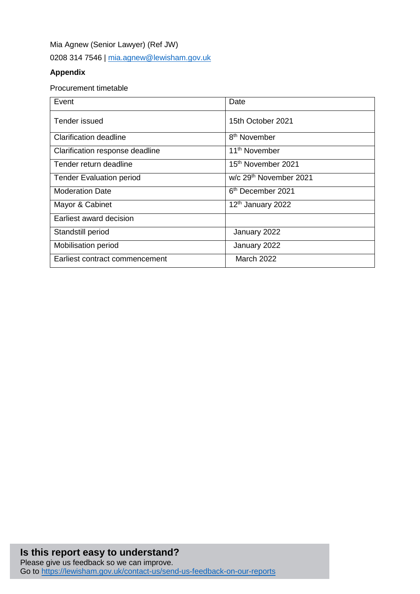Mia Agnew (Senior Lawyer) (Ref JW) 0208 314 7546 | [mia.agnew@lewisham.gov.uk](mailto:mia.agnew@lewisham.gov.uk)

### **Appendix**

#### Procurement timetable

| Event                           | Date                               |
|---------------------------------|------------------------------------|
| Tender issued                   | 15th October 2021                  |
| Clarification deadline          | 8 <sup>th</sup> November           |
| Clarification response deadline | 11 <sup>th</sup> November          |
| Tender return deadline          | 15 <sup>th</sup> November 2021     |
| <b>Tender Evaluation period</b> | w/c 29 <sup>th</sup> November 2021 |
| <b>Moderation Date</b>          | 6 <sup>th</sup> December 2021      |
| Mayor & Cabinet                 | 12th January 2022                  |
| Earliest award decision         |                                    |
| Standstill period               | January 2022                       |
| <b>Mobilisation period</b>      | January 2022                       |
| Earliest contract commencement  | <b>March 2022</b>                  |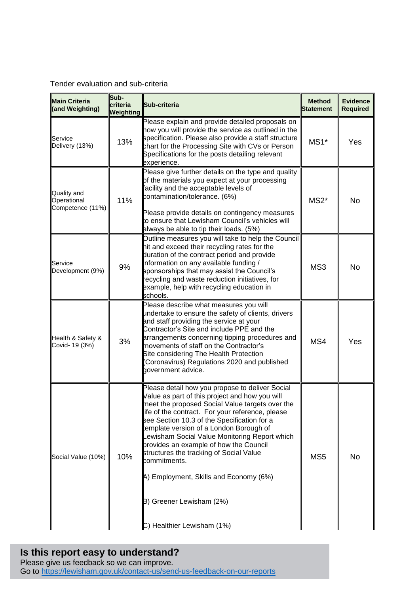Tender evaluation and sub-criteria

| <b>Main Criteria</b><br>(and Weighting)                                                                                                                                                                                                                                                                                                                                                   | Sub-<br>criteria<br>Weighting | Sub-criteria                                                                                                                                                                                                                                                                                                                                                                                                                                                                                                                                              | <b>Method</b><br><b>Statement</b> | <b>Evidence</b><br><b>Required</b> |
|-------------------------------------------------------------------------------------------------------------------------------------------------------------------------------------------------------------------------------------------------------------------------------------------------------------------------------------------------------------------------------------------|-------------------------------|-----------------------------------------------------------------------------------------------------------------------------------------------------------------------------------------------------------------------------------------------------------------------------------------------------------------------------------------------------------------------------------------------------------------------------------------------------------------------------------------------------------------------------------------------------------|-----------------------------------|------------------------------------|
| Service<br>Delivery (13%)                                                                                                                                                                                                                                                                                                                                                                 | 13%                           | Please explain and provide detailed proposals on<br>how you will provide the service as outlined in the<br>specification. Please also provide a staff structure<br>$MS1*$<br>chart for the Processing Site with CVs or Person<br>Specifications for the posts detailing relevant<br>experience.                                                                                                                                                                                                                                                           |                                   | Yes                                |
| Quality and<br>11%<br>Operational<br>Competence (11%)                                                                                                                                                                                                                                                                                                                                     |                               | Please give further details on the type and quality<br>of the materials you expect at your processing<br>facility and the acceptable levels of<br>contamination/tolerance. (6%)<br>Please provide details on contingency measures<br>to ensure that Lewisham Council's vehicles will<br>always be able to tip their loads. (5%)                                                                                                                                                                                                                           | $MS2*$                            | No                                 |
| Outline measures you will take to help the Council<br>hit and exceed their recycling rates for the<br>duration of the contract period and provide<br>Information on any available funding /<br>Service<br>9%<br>Development (9%)<br>sponsorships that may assist the Council's<br>recycling and waste reduction initiatives, for<br>example, help with recycling education in<br>schools. |                               | MS3                                                                                                                                                                                                                                                                                                                                                                                                                                                                                                                                                       | No                                |                                    |
| Health & Safety &<br>Covid- 19 (3%)                                                                                                                                                                                                                                                                                                                                                       | 3%                            | Please describe what measures you will<br>undertake to ensure the safety of clients, drivers<br>and staff providing the service at your<br>Contractor's Site and include PPE and the<br>arrangements concerning tipping procedures and<br>movements of staff on the Contractor's<br>Site considering The Health Protection<br>(Coronavirus) Regulations 2020 and published<br>government advice.                                                                                                                                                          | MS4                               | Yes                                |
| 10%<br>Social Value (10%)                                                                                                                                                                                                                                                                                                                                                                 |                               | Please detail how you propose to deliver Social<br>Value as part of this project and how you will<br>neet the proposed Social Value targets over the<br>life of the contract. For your reference, please<br>see Section 10.3 of the Specification for a<br>template version of a London Borough of<br>Lewisham Social Value Monitoring Report which<br>provides an example of how the Council<br>structures the tracking of Social Value<br>commitments.<br>A) Employment, Skills and Economy (6%)<br>B) Greener Lewisham (2%)<br>Healthier Lewisham (1%) | MS <sub>5</sub>                   | No                                 |

# **Is this report easy to understand?**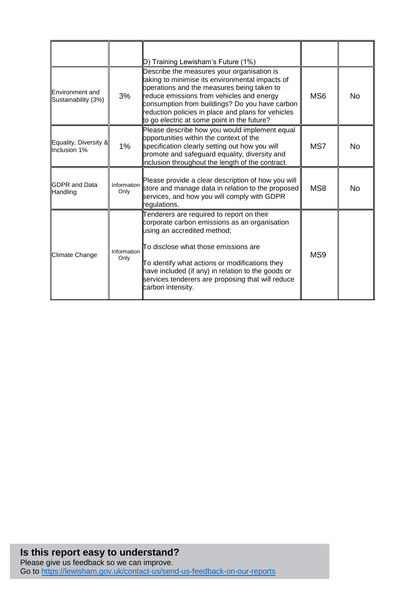|                                        |                     | D) Training Lewisham's Future (1%)                                                                                                                                                                                                                                                                                                                  |                 |    |
|----------------------------------------|---------------------|-----------------------------------------------------------------------------------------------------------------------------------------------------------------------------------------------------------------------------------------------------------------------------------------------------------------------------------------------------|-----------------|----|
| Environment and<br>Sustainability (3%) | 3%                  | Describe the measures your organisation is<br>taking to minimise its environmental impacts of<br>operations and the measures being taken to<br>reduce emissions from vehicles and energy<br>consumption from buildings? Do you have carbon<br>reduction policies in place and plans for vehicles<br>to go electric at some point in the future?     | MS <sub>6</sub> | No |
| Equality, Diversity &<br>Inclusion 1%  | 1%                  | Please describe how you would implement equal<br>opportunities within the context of the<br>specification clearly setting out how you will<br>promote and safeguard equality, diversity and<br>Inclusion throughout the length of the contract.                                                                                                     | MS7             | No |
| <b>GDPR</b> and Data<br>Handling       | Information<br>Only | Please provide a clear description of how you will<br>store and manage data in relation to the proposed<br>services, and how you will comply with GDPR<br>regulations.                                                                                                                                                                              | MS8             | No |
| Climate Change                         | Information<br>Only | Tenderers are required to report on their<br>corporate carbon emissions as an organisation<br>using an accredited method;<br>To disclose what those emissions are<br>To identify what actions or modifications they<br>have included (if any) in relation to the goods or<br>services tenderers are proposing that will reduce<br>carbon intensity. | MS9             |    |